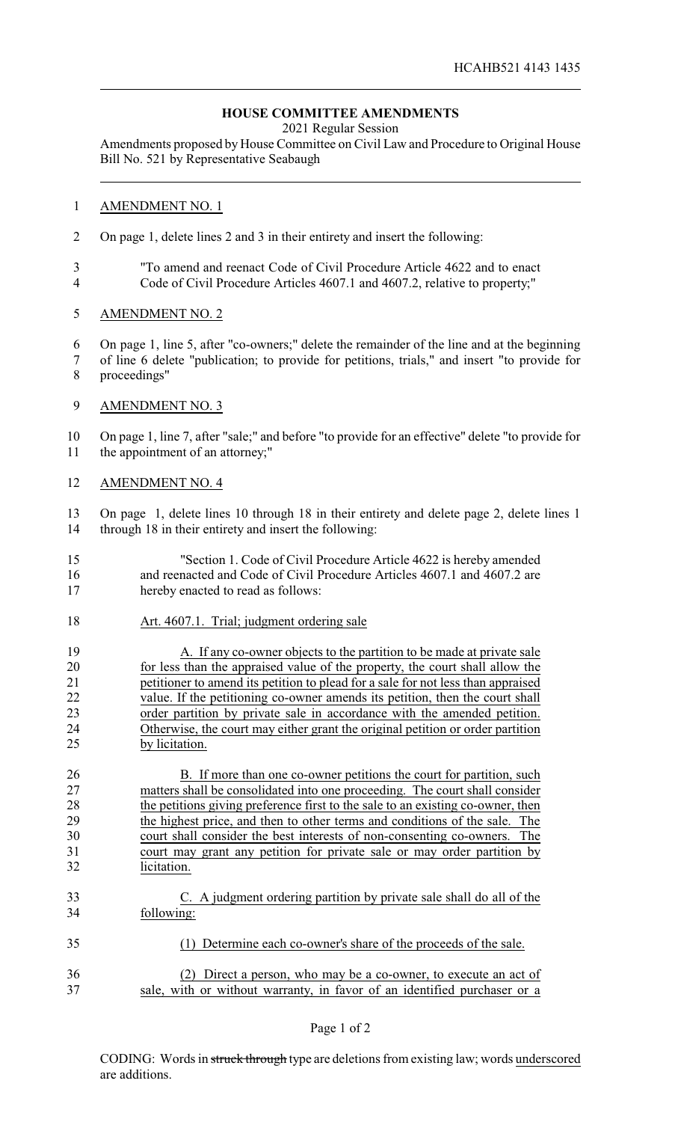## **HOUSE COMMITTEE AMENDMENTS**

2021 Regular Session

Amendments proposed by House Committee on Civil Law and Procedure to Original House Bill No. 521 by Representative Seabaugh

## AMENDMENT NO. 1

- On page 1, delete lines 2 and 3 in their entirety and insert the following:
- "To amend and reenact Code of Civil Procedure Article 4622 and to enact Code of Civil Procedure Articles 4607.1 and 4607.2, relative to property;"
- AMENDMENT NO. 2
- On page 1, line 5, after "co-owners;" delete the remainder of the line and at the beginning
- of line 6 delete "publication; to provide for petitions, trials," and insert "to provide for proceedings"
- AMENDMENT NO. 3

 On page 1, line 7, after "sale;" and before "to provide for an effective" delete "to provide for the appointment of an attorney;"

AMENDMENT NO. 4

 On page 1, delete lines 10 through 18 in their entirety and delete page 2, delete lines 1 through 18 in their entirety and insert the following:

- "Section 1. Code of Civil Procedure Article 4622 is hereby amended and reenacted and Code of Civil Procedure Articles 4607.1 and 4607.2 are hereby enacted to read as follows:
- 18 Art. 4607.1. Trial; judgment ordering sale
- 19 A. If any co-owner objects to the partition to be made at private sale for less than the appraised value of the property, the court shall allow the petitioner to amend its petition to plead for a sale for not less than appraised 22 value. If the petitioning co-owner amends its petition, then the court shall order partition by private sale in accordance with the amended petition. Otherwise, the court may either grant the original petition or order partition by licitation.

26 B. If more than one co-owner petitions the court for partition, such matters shall be consolidated into one proceeding. The court shall consider 28 the petitions giving preference first to the sale to an existing co-owner, then the highest price, and then to other terms and conditions of the sale. The court shall consider the best interests of non-consenting co-owners. The court may grant any petition for private sale or may order partition by licitation.

- C. A judgment ordering partition by private sale shall do all of the following:
- (1) Determine each co-owner's share of the proceeds of the sale.
- (2) Direct a person, who may be a co-owner, to execute an act of sale, with or without warranty, in favor of an identified purchaser or a